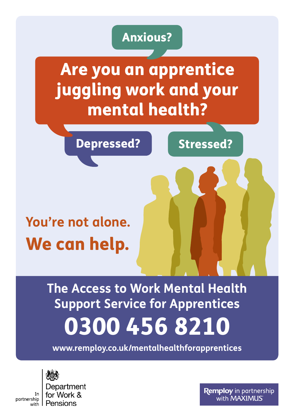## Anxious?

Are you an apprentice juggling work and your mental health?

Depressed? Stressed?

# **You're not alone.** We can help.

0300 456 8210 **The Access to Work Mental Health Support Service for Apprentices**

**www.remploy.co.uk/mentalhealthforapprentices**



partnership

with

Department for Work & Pensions

**Remploy** in partnership with MAXIMUS